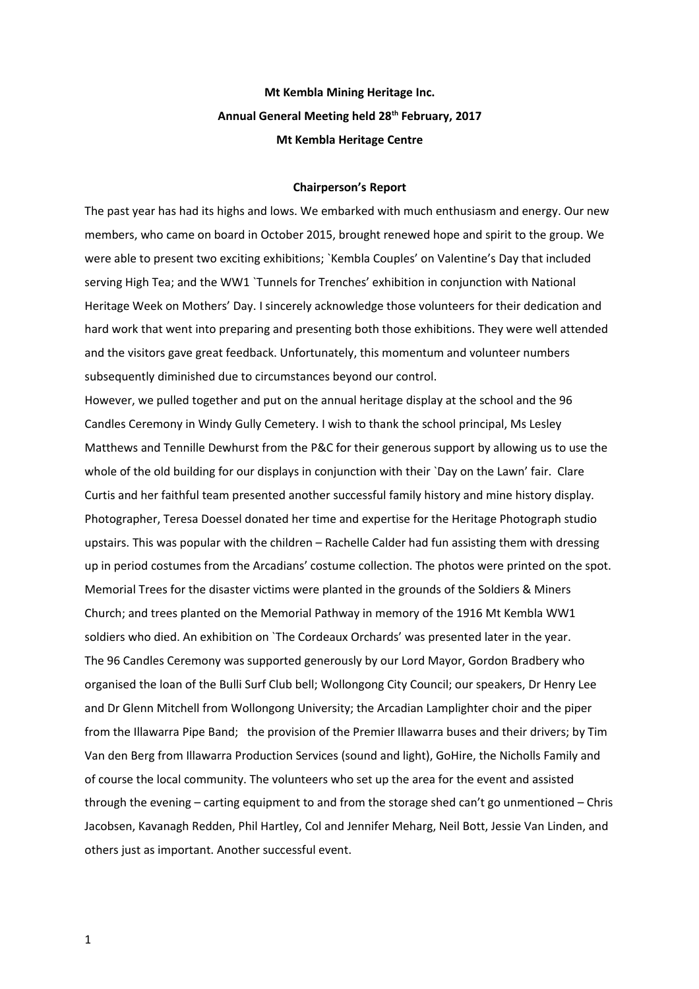## **Mt Kembla Mining Heritage Inc. Annual General Meeting held 28th February, 2017 Mt Kembla Heritage Centre**

## **Chairperson's Report**

The past year has had its highs and lows. We embarked with much enthusiasm and energy. Our new members, who came on board in October 2015, brought renewed hope and spirit to the group. We were able to present two exciting exhibitions; `Kembla Couples' on Valentine's Day that included serving High Tea; and the WW1 `Tunnels for Trenches' exhibition in conjunction with National Heritage Week on Mothers' Day. I sincerely acknowledge those volunteers for their dedication and hard work that went into preparing and presenting both those exhibitions. They were well attended and the visitors gave great feedback. Unfortunately, this momentum and volunteer numbers subsequently diminished due to circumstances beyond our control.

However, we pulled together and put on the annual heritage display at the school and the 96 Candles Ceremony in Windy Gully Cemetery. I wish to thank the school principal, Ms Lesley Matthews and Tennille Dewhurst from the P&C for their generous support by allowing us to use the whole of the old building for our displays in conjunction with their `Day on the Lawn' fair. Clare Curtis and her faithful team presented another successful family history and mine history display. Photographer, Teresa Doessel donated her time and expertise for the Heritage Photograph studio upstairs. This was popular with the children – Rachelle Calder had fun assisting them with dressing up in period costumes from the Arcadians' costume collection. The photos were printed on the spot. Memorial Trees for the disaster victims were planted in the grounds of the Soldiers & Miners Church; and trees planted on the Memorial Pathway in memory of the 1916 Mt Kembla WW1 soldiers who died. An exhibition on `The Cordeaux Orchards' was presented later in the year. The 96 Candles Ceremony was supported generously by our Lord Mayor, Gordon Bradbery who organised the loan of the Bulli Surf Club bell; Wollongong City Council; our speakers, Dr Henry Lee and Dr Glenn Mitchell from Wollongong University; the Arcadian Lamplighter choir and the piper from the Illawarra Pipe Band; the provision of the Premier Illawarra buses and their drivers; by Tim Van den Berg from Illawarra Production Services (sound and light), GoHire, the Nicholls Family and of course the local community. The volunteers who set up the area for the event and assisted through the evening – carting equipment to and from the storage shed can't go unmentioned – Chris Jacobsen, Kavanagh Redden, Phil Hartley, Col and Jennifer Meharg, Neil Bott, Jessie Van Linden, and others just as important. Another successful event.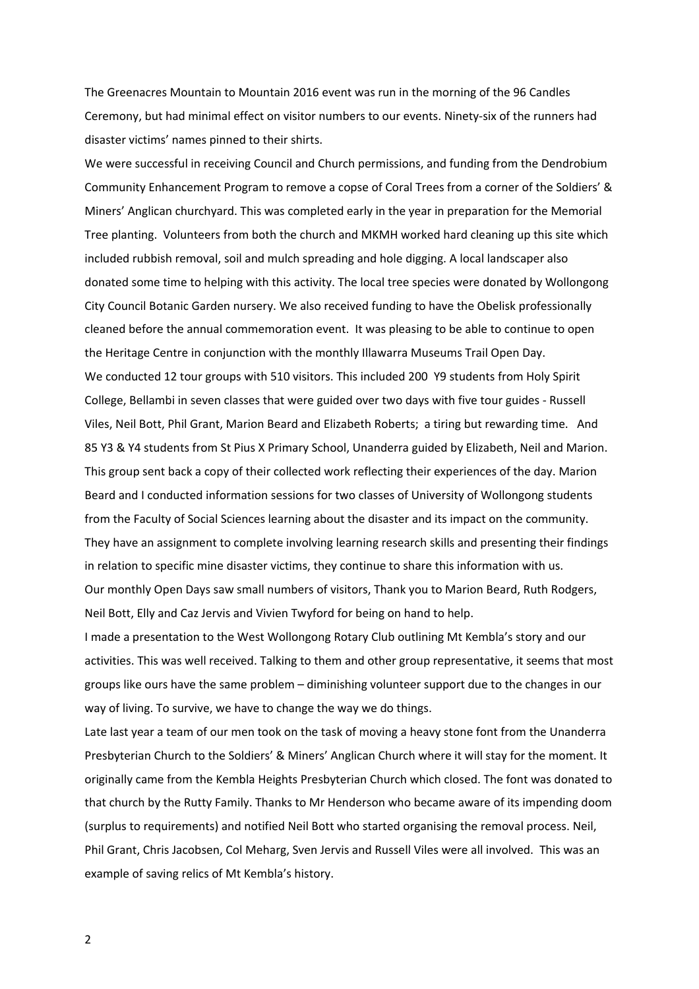The Greenacres Mountain to Mountain 2016 event was run in the morning of the 96 Candles Ceremony, but had minimal effect on visitor numbers to our events. Ninety-six of the runners had disaster victims' names pinned to their shirts.

We were successful in receiving Council and Church permissions, and funding from the Dendrobium Community Enhancement Program to remove a copse of Coral Trees from a corner of the Soldiers' & Miners' Anglican churchyard. This was completed early in the year in preparation for the Memorial Tree planting. Volunteers from both the church and MKMH worked hard cleaning up this site which included rubbish removal, soil and mulch spreading and hole digging. A local landscaper also donated some time to helping with this activity. The local tree species were donated by Wollongong City Council Botanic Garden nursery. We also received funding to have the Obelisk professionally cleaned before the annual commemoration event. It was pleasing to be able to continue to open the Heritage Centre in conjunction with the monthly Illawarra Museums Trail Open Day. We conducted 12 tour groups with 510 visitors. This included 200 Y9 students from Holy Spirit College, Bellambi in seven classes that were guided over two days with five tour guides - Russell Viles, Neil Bott, Phil Grant, Marion Beard and Elizabeth Roberts; a tiring but rewarding time. And 85 Y3 & Y4 students from St Pius X Primary School, Unanderra guided by Elizabeth, Neil and Marion. This group sent back a copy of their collected work reflecting their experiences of the day. Marion Beard and I conducted information sessions for two classes of University of Wollongong students from the Faculty of Social Sciences learning about the disaster and its impact on the community. They have an assignment to complete involving learning research skills and presenting their findings in relation to specific mine disaster victims, they continue to share this information with us. Our monthly Open Days saw small numbers of visitors, Thank you to Marion Beard, Ruth Rodgers, Neil Bott, Elly and Caz Jervis and Vivien Twyford for being on hand to help.

I made a presentation to the West Wollongong Rotary Club outlining Mt Kembla's story and our activities. This was well received. Talking to them and other group representative, it seems that most groups like ours have the same problem – diminishing volunteer support due to the changes in our way of living. To survive, we have to change the way we do things.

Late last year a team of our men took on the task of moving a heavy stone font from the Unanderra Presbyterian Church to the Soldiers' & Miners' Anglican Church where it will stay for the moment. It originally came from the Kembla Heights Presbyterian Church which closed. The font was donated to that church by the Rutty Family. Thanks to Mr Henderson who became aware of its impending doom (surplus to requirements) and notified Neil Bott who started organising the removal process. Neil, Phil Grant, Chris Jacobsen, Col Meharg, Sven Jervis and Russell Viles were all involved. This was an example of saving relics of Mt Kembla's history.